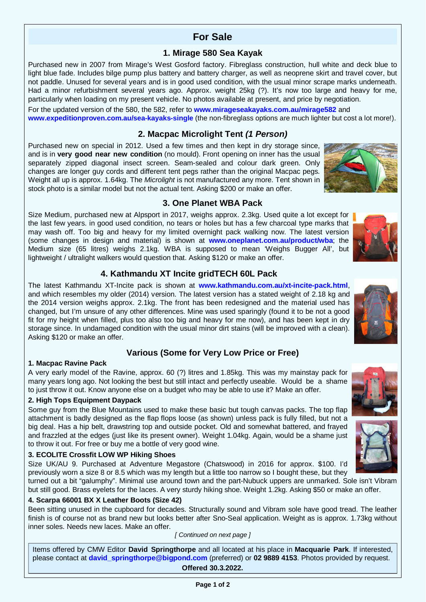# **For Sale**

## **1. Mirage 580 Sea Kayak**

Purchased new in 2007 from Mirage's West Gosford factory. Fibreglass construction, hull white and deck blue to light blue fade. Includes bilge pump plus battery and battery charger, as well as neoprene skirt and travel cover, but not paddle. Unused for several years and is in good used condition, with the usual minor scrape marks underneath. Had a minor refurbishment several years ago. Approx. weight 25kg (?). It's now too large and heavy for me, particularly when loading on my present vehicle. No photos available at present, and price by negotiation.

For the updated version of the 580, the 582, refer to **[www.mirageseakayaks.com.au/mirage582](http://www.mirageseakayaks.com.au/mirage582)** and **[www.expeditionproven.com.au/sea-kayaks-single](http://www.expeditionproven.com.au/sea-kayaks-single)** (the non-fibreglass options are much lighter but cost a lot more!).

## **2. Macpac Microlight Tent** *(1 Person)*

Purchased new on special in 2012. Used a few times and then kept in dry storage since, and is in **very good near new condition** (no mould). Front opening on inner has the usual separately zipped diagonal insect screen. Seam-sealed and colour dark green. Only changes are longer guy cords and different tent pegs rather than the original Macpac pegs. Weight all up is approx. 1.64kg. The *Microlight* is not manufactured any more. Tent shown in stock photo is a similar model but not the actual tent. Asking \$200 or make an offer.



Size Medium, purchased new at Alpsport in 2017, weighs approx. 2.3kg. Used quite a lot except for the last few years. in good used condition, no tears or holes but has a few charcoal type marks that may wash off. Too big and heavy for my limited overnight pack walking now. The latest version (some changes in design and material) is shown at **[www.oneplanet.com.au/product/wba](http://www.oneplanet.com.au/product/wba)**; the Medium size (65 litres) weighs 2.1kg. WBA is supposed to mean 'Weighs Bugger All', but lightweight / ultralight walkers would question that. Asking \$120 or make an offer.

## **4. Kathmandu XT Incite gridTECH 60L Pack**

The latest Kathmandu XT-Incite pack is shown at **[www.kathmandu.com.au/xt-incite-pack.html](http://www.kathmandu.com.au/xt-incite-pack.html)**, and which resembles my older (2014) version. The latest version has a stated weight of 2.18 kg and the 2014 version weighs approx. 2.1kg. The front has been redesigned and the material used has changed, but I'm unsure of any other differences. Mine was used sparingly (found it to be not a good fit for my height when filled, plus too also too big and heavy for me now), and has been kept in dry storage since. In undamaged condition with the usual minor dirt stains (will be improved with a clean). Asking \$120 or make an offer.

## **Various (Some for Very Low Price or Free)**

### **1. Macpac Ravine Pack**

A very early model of the Ravine, approx. 60 (?) litres and 1.85kg. This was my mainstay pack for many years long ago. Not looking the best but still intact and perfectly useable. Would be a shame to just throw it out. Know anyone else on a budget who may be able to use it? Make an offer.

### **2. High Tops Equipment Daypack**

Some guy from the Blue Mountains used to make these basic but tough canvas packs. The top flap attachment is badly designed as the flap flops loose (as shown) unless pack is fully filled, but not a big deal. Has a hip belt, drawstring top and outside pocket. Old and somewhat battered, and frayed and frazzled at the edges (just like its present owner). Weight 1.04kg. Again, would be a shame just to throw it out. For free or buy me a bottle of very good wine.

### **3. ECOLITE Crossfit LOW WP Hiking Shoes**

Size UK/AU 9. Purchased at Adventure Megastore (Chatswood) in 2016 for approx. \$100. I'd previously worn a size 8 or 8.5 which was my length but a little too narrow so I bought these, but they

turned out a bit "galumphy". Minimal use around town and the part-Nubuck uppers are unmarked. Sole isn't Vibram but still good. Brass eyelets for the laces. A very sturdy hiking shoe. Weight 1.2kg. Asking \$50 or make an offer.

### **4. Scarpa 66001 BX X Leather Boots (Size 42)**

Been sitting unused in the cupboard for decades. Structurally sound and Vibram sole have good tread. The leather finish is of course not as brand new but looks better after Sno-Seal application. Weight as is approx. 1.73kg without inner soles. Needs new laces. Make an offer.

#### *[ Continued on next page ]*

Items offered by CMW Editor **David Springthorpe** and all located at his place in **Macquarie Park**. If interested, please contact at **[david\\_springthorpe@bigpond.com](mailto:david_springthorpe@bigpond.com)** (preferred) or **02 9889 4153**. Photos provided by request. **Offered 30.3.2022.**